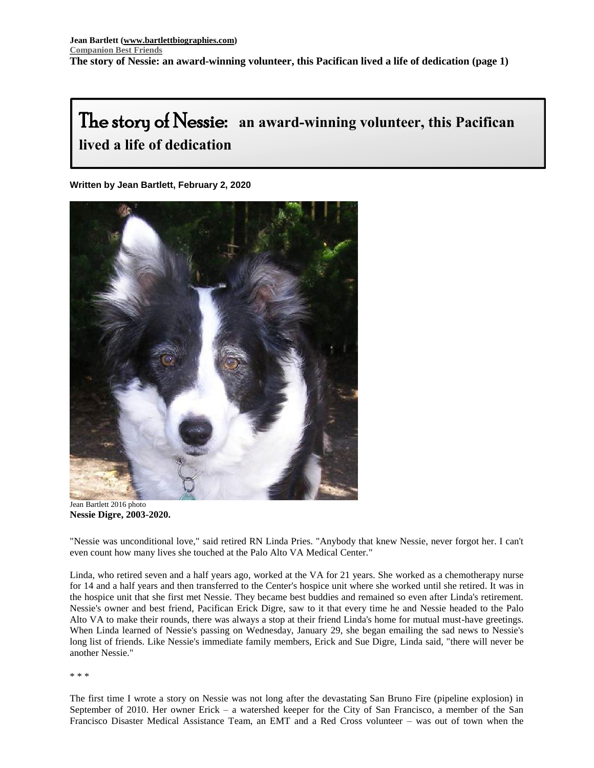# The story of Nessie: **an award-winning volunteer, this Pacifican lived a life of dedication**

**Written by Jean Bartlett, February 2, 2020** -<br>ri



Jean Bartlett 2016 photo **Nessie Digre, 2003-2020.**

"Nessie was unconditional love," said retired RN Linda Pries. "Anybody that knew Nessie, never forgot her. I can't even count how many lives she touched at the Palo Alto VA Medical Center."

Linda, who retired seven and a half years ago, worked at the VA for 21 years. She worked as a chemotherapy nurse for 14 and a half years and then transferred to the Center's hospice unit where she worked until she retired. It was in the hospice unit that she first met Nessie. They became best buddies and remained so even after Linda's retirement. Nessie's owner and best friend, Pacifican Erick Digre, saw to it that every time he and Nessie headed to the Palo Alto VA to make their rounds, there was always a stop at their friend Linda's home for mutual must-have greetings. When Linda learned of Nessie's passing on Wednesday, January 29, she began emailing the sad news to Nessie's long list of friends. Like Nessie's immediate family members, Erick and Sue Digre, Linda said, "there will never be another Nessie."

\* \* \*

The first time I wrote a story on Nessie was not long after the devastating San Bruno Fire (pipeline explosion) in September of 2010. Her owner Erick – a watershed keeper for the City of San Francisco, a member of the San Francisco Disaster Medical Assistance Team, an EMT and a Red Cross volunteer – was out of town when the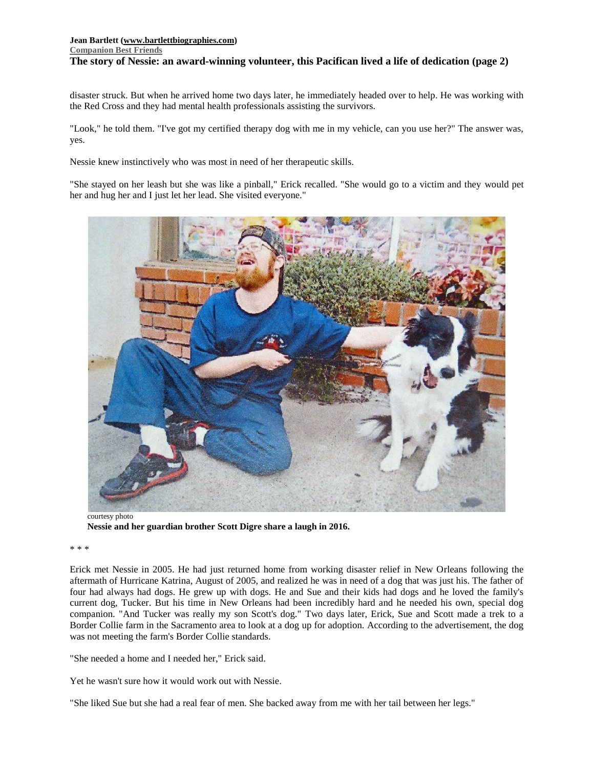## **Jean Bartlett [\(www.bartlettbiographies.com\)](http://www.bartlettbiographies.com/) [Companion Best Friends](https://www.bartlettbiographies.com/stories) The story of Nessie: an award-winning volunteer, this Pacifican lived a life of dedication (page 2)**

disaster struck. But when he arrived home two days later, he immediately headed over to help. He was working with the Red Cross and they had mental health professionals assisting the survivors.

"Look," he told them. "I've got my certified therapy dog with me in my vehicle, can you use her?" The answer was, yes.

Nessie knew instinctively who was most in need of her therapeutic skills.

"She stayed on her leash but she was like a pinball," Erick recalled. "She would go to a victim and they would pet her and hug her and I just let her lead. She visited everyone."



courtesy photo **Nessie and her guardian brother Scott Digre share a laugh in 2016.**

\* \* \*

Erick met Nessie in 2005. He had just returned home from working disaster relief in New Orleans following the aftermath of Hurricane Katrina, August of 2005, and realized he was in need of a dog that was just his. The father of four had always had dogs. He grew up with dogs. He and Sue and their kids had dogs and he loved the family's current dog, Tucker. But his time in New Orleans had been incredibly hard and he needed his own, special dog companion. "And Tucker was really my son Scott's dog." Two days later, Erick, Sue and Scott made a trek to a Border Collie farm in the Sacramento area to look at a dog up for adoption. According to the advertisement, the dog was not meeting the farm's Border Collie standards.

"She needed a home and I needed her," Erick said.

Yet he wasn't sure how it would work out with Nessie.

"She liked Sue but she had a real fear of men. She backed away from me with her tail between her legs."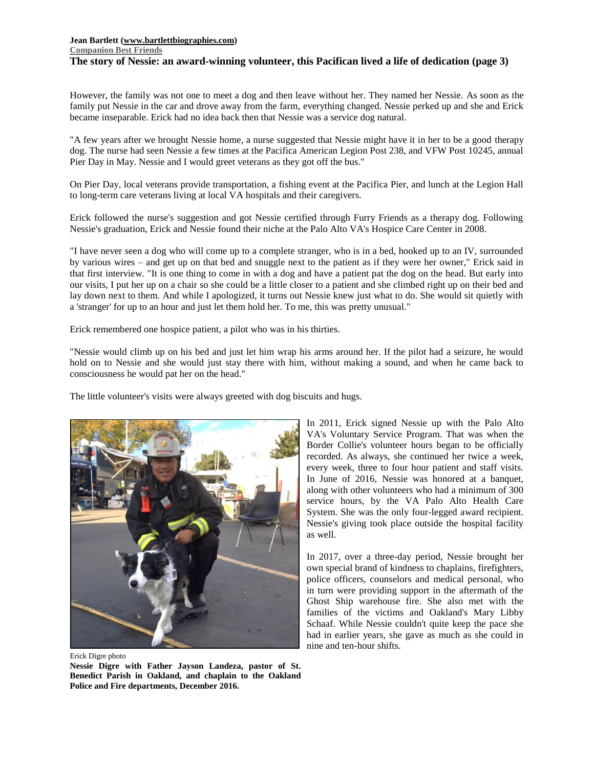### **Jean Bartlett [\(www.bartlettbiographies.com\)](http://www.bartlettbiographies.com/) [Companion Best Friends](https://www.bartlettbiographies.com/stories) The story of Nessie: an award-winning volunteer, this Pacifican lived a life of dedication (page 3)**

However, the family was not one to meet a dog and then leave without her. They named her Nessie. As soon as the family put Nessie in the car and drove away from the farm, everything changed. Nessie perked up and she and Erick became inseparable. Erick had no idea back then that Nessie was a service dog natural.

"A few years after we brought Nessie home, a nurse suggested that Nessie might have it in her to be a good therapy dog. The nurse had seen Nessie a few times at the Pacifica American Legion Post 238, and VFW Post 10245, annual Pier Day in May. Nessie and I would greet veterans as they got off the bus."

On Pier Day, local veterans provide transportation, a fishing event at the Pacifica Pier, and lunch at the Legion Hall to long-term care veterans living at local VA hospitals and their caregivers.

Erick followed the nurse's suggestion and got Nessie certified through Furry Friends as a therapy dog. Following Nessie's graduation, Erick and Nessie found their niche at the Palo Alto VA's Hospice Care Center in 2008.

"I have never seen a dog who will come up to a complete stranger, who is in a bed, hooked up to an IV, surrounded by various wires – and get up on that bed and snuggle next to the patient as if they were her owner," Erick said in that first interview. "It is one thing to come in with a dog and have a patient pat the dog on the head. But early into our visits, I put her up on a chair so she could be a little closer to a patient and she climbed right up on their bed and lay down next to them. And while I apologized, it turns out Nessie knew just what to do. She would sit quietly with a 'stranger' for up to an hour and just let them hold her. To me, this was pretty unusual."

Erick remembered one hospice patient, a pilot who was in his thirties.

"Nessie would climb up on his bed and just let him wrap his arms around her. If the pilot had a seizure, he would hold on to Nessie and she would just stay there with him, without making a sound, and when he came back to consciousness he would pat her on the head."

The little volunteer's visits were always greeted with dog biscuits and hugs.



Erick Digre photo

**Nessie Digre with Father Jayson Landeza, pastor of St. Benedict Parish in Oakland, and chaplain to the Oakland Police and Fire departments, December 2016.**

In 2011, Erick signed Nessie up with the Palo Alto VA's Voluntary Service Program. That was when the Border Collie's volunteer hours began to be officially recorded. As always, she continued her twice a week, every week, three to four hour patient and staff visits. In June of 2016, Nessie was honored at a banquet, along with other volunteers who had a minimum of 300 service hours, by the VA Palo Alto Health Care System. She was the only four-legged award recipient. Nessie's giving took place outside the hospital facility as well.

In 2017, over a three-day period, Nessie brought her own special brand of kindness to chaplains, firefighters, police officers, counselors and medical personal, who in turn were providing support in the aftermath of the Ghost Ship warehouse fire. She also met with the families of the victims and Oakland's Mary Libby Schaaf. While Nessie couldn't quite keep the pace she had in earlier years, she gave as much as she could in nine and ten-hour shifts.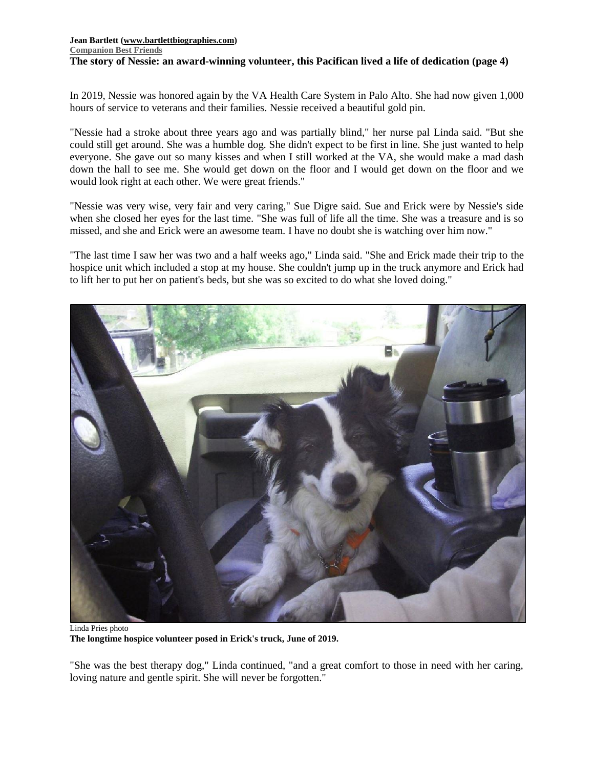### **Jean Bartlett [\(www.bartlettbiographies.com\)](http://www.bartlettbiographies.com/) [Companion Best Friends](https://www.bartlettbiographies.com/stories) The story of Nessie: an award-winning volunteer, this Pacifican lived a life of dedication (page 4)**

In 2019, Nessie was honored again by the VA Health Care System in Palo Alto. She had now given 1,000 hours of service to veterans and their families. Nessie received a beautiful gold pin.

"Nessie had a stroke about three years ago and was partially blind," her nurse pal Linda said. "But she could still get around. She was a humble dog. She didn't expect to be first in line. She just wanted to help everyone. She gave out so many kisses and when I still worked at the VA, she would make a mad dash down the hall to see me. She would get down on the floor and I would get down on the floor and we would look right at each other. We were great friends."

"Nessie was very wise, very fair and very caring," Sue Digre said. Sue and Erick were by Nessie's side when she closed her eyes for the last time. "She was full of life all the time. She was a treasure and is so missed, and she and Erick were an awesome team. I have no doubt she is watching over him now."

"The last time I saw her was two and a half weeks ago," Linda said. "She and Erick made their trip to the hospice unit which included a stop at my house. She couldn't jump up in the truck anymore and Erick had to lift her to put her on patient's beds, but she was so excited to do what she loved doing."



Linda Pries photo **The longtime hospice volunteer posed in Erick's truck, June of 2019.**

"She was the best therapy dog," Linda continued, "and a great comfort to those in need with her caring, loving nature and gentle spirit. She will never be forgotten."